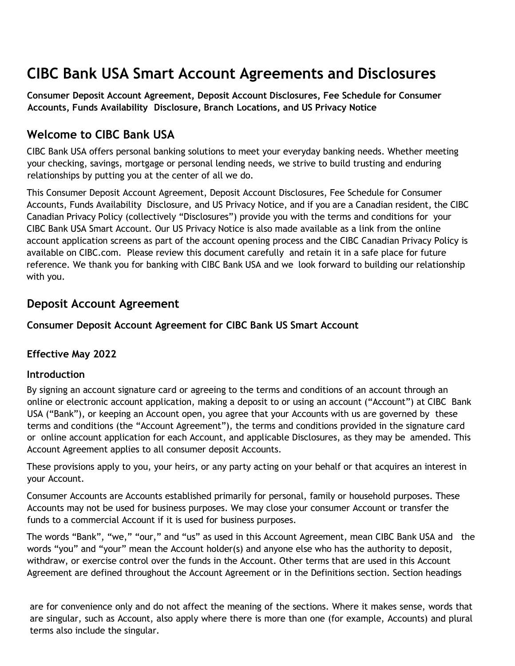# **CIBC Bank USA Smart Account Agreements and Disclosures**

**Consumer Deposit Account Agreement, Deposit Account Disclosures, Fee Schedule for Consumer Accounts, Funds Availability Disclosure, Branch Locations, and US Privacy Notice**

### **Welcome to CIBC Bank USA**

CIBC Bank USA offers personal banking solutions to meet your everyday banking needs. Whether meeting your checking, savings, mortgage or personal lending needs, we strive to build trusting and enduring relationships by putting you at the center of all we do.

This Consumer Deposit Account Agreement, Deposit Account Disclosures, Fee Schedule for Consumer Accounts, Funds Availability Disclosure, and US Privacy Notice, and if you are a Canadian resident, the CIBC Canadian Privacy Policy (collectively "Disclosures") provide you with the terms and conditions for your CIBC Bank USA Smart Account. Our US Privacy Notice is also made available as a link from the online account application screens as part of the account opening process and the CIBC Canadian Privacy Policy is available on CIBC.com. Please review this document carefully and retain it in a safe place for future reference. We thank you for banking with CIBC Bank USA and we look forward to building our relationship with you.

### **Deposit Account Agreement**

### **Consumer Deposit Account Agreement for CIBC Bank US Smart Account**

### **Effective May 2022**

### **Introduction**

By signing an account signature card or agreeing to the terms and conditions of an account through an online or electronic account application, making a deposit to or using an account ("Account") at CIBC Bank USA ("Bank"), or keeping an Account open, you agree that your Accounts with us are governed by these terms and conditions (the "Account Agreement"), the terms and conditions provided in the signature card or online account application for each Account, and applicable Disclosures, as they may be amended. This Account Agreement applies to all consumer deposit Accounts.

These provisions apply to you, your heirs, or any party acting on your behalf or that acquires an interest in your Account.

Consumer Accounts are Accounts established primarily for personal, family or household purposes. These Accounts may not be used for business purposes. We may close your consumer Account or transfer the funds to a commercial Account if it is used for business purposes.

The words "Bank", "we," "our," and "us" as used in this Account Agreement, mean CIBC Bank USA and the words "you" and "your" mean the Account holder(s) and anyone else who has the authority to deposit, withdraw, or exercise control over the funds in the Account. Other terms that are used in this Account Agreement are defined throughout the Account Agreement or in the Definitions section. Section headings

are for convenience only and do not affect the meaning of the sections. Where it makes sense, words that are singular, such as Account, also apply where there is more than one (for example, Accounts) and plural terms also include the singular.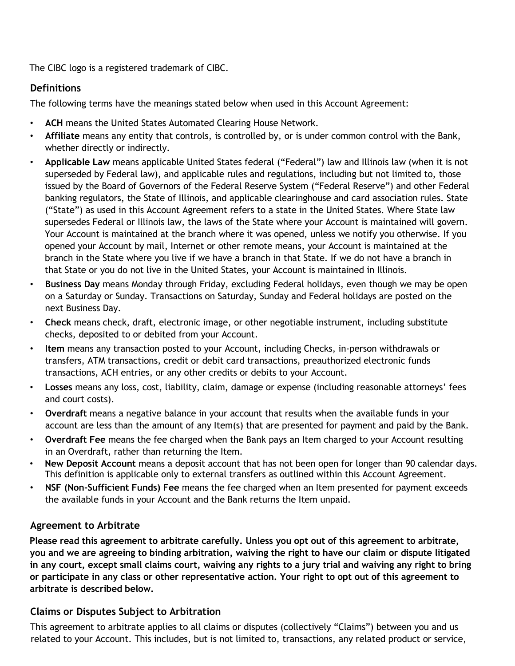The CIBC logo is a registered trademark of CIBC.

### **Definitions**

The following terms have the meanings stated below when used in this Account Agreement:

- **ACH** means the United States Automated Clearing House Network.
- **Affiliate** means any entity that controls, is controlled by, or is under common control with the Bank, whether directly or indirectly.
- **Applicable Law** means applicable United States federal ("Federal") law and Illinois law (when it is not superseded by Federal law), and applicable rules and regulations, including but not limited to, those issued by the Board of Governors of the Federal Reserve System ("Federal Reserve") and other Federal banking regulators, the State of Illinois, and applicable clearinghouse and card association rules. State ("State") as used in this Account Agreement refers to a state in the United States. Where State law supersedes Federal or Illinois law, the laws of the State where your Account is maintained will govern. Your Account is maintained at the branch where it was opened, unless we notify you otherwise. If you opened your Account by mail, Internet or other remote means, your Account is maintained at the branch in the State where you live if we have a branch in that State. If we do not have a branch in that State or you do not live in the United States, your Account is maintained in Illinois.
- **Business Day** means Monday through Friday, excluding Federal holidays, even though we may be open on a Saturday or Sunday. Transactions on Saturday, Sunday and Federal holidays are posted on the next Business Day.
- **Check** means check, draft, electronic image, or other negotiable instrument, including substitute checks, deposited to or debited from your Account.
- **Item** means any transaction posted to your Account, including Checks, in-person withdrawals or transfers, ATM transactions, credit or debit card transactions, preauthorized electronic funds transactions, ACH entries, or any other credits or debits to your Account.
- **Losses** means any loss, cost, liability, claim, damage or expense (including reasonable attorneys' fees and court costs).
- **Overdraft** means a negative balance in your account that results when the available funds in your account are less than the amount of any Item(s) that are presented for payment and paid by the Bank.
- **Overdraft Fee** means the fee charged when the Bank pays an Item charged to your Account resulting in an Overdraft, rather than returning the Item.
- **New Deposit Account** means a deposit account that has not been open for longer than 90 calendar days. This definition is applicable only to external transfers as outlined within this Account Agreement.
- **NSF (Non-Sufficient Funds) Fee** means the fee charged when an Item presented for payment exceeds the available funds in your Account and the Bank returns the Item unpaid.

### **Agreement to Arbitrate**

**Please read this agreement to arbitrate carefully. Unless you opt out of this agreement to arbitrate, you and we are agreeing to binding arbitration, waiving the right to have our claim or dispute litigated** in any court, except small claims court, waiving any rights to a jury trial and waiving any right to bring **or participate in any class or other representative action. Your right to opt out of this agreement to arbitrate is described below.**

### **Claims or Disputes Subject to Arbitration**

This agreement to arbitrate applies to all claims or disputes (collectively "Claims") between you and us related to your Account. This includes, but is not limited to, transactions, any related product or service,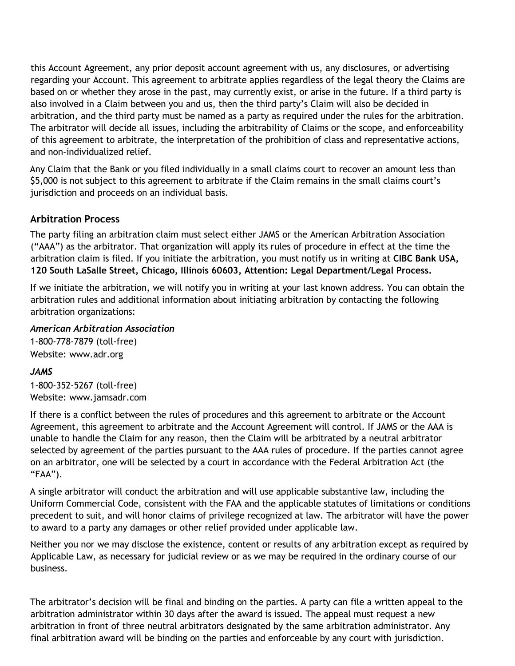this Account Agreement, any prior deposit account agreement with us, any disclosures, or advertising regarding your Account. This agreement to arbitrate applies regardless of the legal theory the Claims are based on or whether they arose in the past, may currently exist, or arise in the future. If a third party is also involved in a Claim between you and us, then the third party's Claim will also be decided in arbitration, and the third party must be named as a party as required under the rules for the arbitration. The arbitrator will decide all issues, including the arbitrability of Claims or the scope, and enforceability of this agreement to arbitrate, the interpretation of the prohibition of class and representative actions, and non-individualized relief.

Any Claim that the Bank or you filed individually in a small claims court to recover an amount less than \$5,000 is not subject to this agreement to arbitrate if the Claim remains in the small claims court's jurisdiction and proceeds on an individual basis.

### **Arbitration Process**

The party filing an arbitration claim must select either JAMS or the American Arbitration Association ("AAA") as the arbitrator. That organization will apply its rules of procedure in effect at the time the arbitration claim is filed. If you initiate the arbitration, you must notify us in writing at **CIBC Bank USA, 120 South LaSalle Street, Chicago, Illinois 60603, Attention: Legal Department/Legal Process.**

If we initiate the arbitration, we will notify you in writing at your last known address. You can obtain the arbitration rules and additional information about initiating arbitration by contacting the following arbitration organizations:

#### *American Arbitration Association*

1-800-778-7879 (toll-free) Websit[e:](http://www.adr.org/) [www.adr.org](http://www.adr.org/)

### *JAMS*

1-800-352-5267 (toll-free) Websit[e:](http://www.jamsadr.com/) [www.jamsadr.com](http://www.jamsadr.com/)

If there is a conflict between the rules of procedures and this agreement to arbitrate or the Account Agreement, this agreement to arbitrate and the Account Agreement will control. If JAMS or the AAA is unable to handle the Claim for any reason, then the Claim will be arbitrated by a neutral arbitrator selected by agreement of the parties pursuant to the AAA rules of procedure. If the parties cannot agree on an arbitrator, one will be selected by a court in accordance with the Federal Arbitration Act (the "FAA").

A single arbitrator will conduct the arbitration and will use applicable substantive law, including the Uniform Commercial Code, consistent with the FAA and the applicable statutes of limitations or conditions precedent to suit, and will honor claims of privilege recognized at law. The arbitrator will have the power to award to a party any damages or other relief provided under applicable law.

Neither you nor we may disclose the existence, content or results of any arbitration except as required by Applicable Law, as necessary for judicial review or as we may be required in the ordinary course of our business.

The arbitrator's decision will be final and binding on the parties. A party can file a written appeal to the arbitration administrator within 30 days after the award is issued. The appeal must request a new arbitration in front of three neutral arbitrators designated by the same arbitration administrator. Any final arbitration award will be binding on the parties and enforceable by any court with jurisdiction.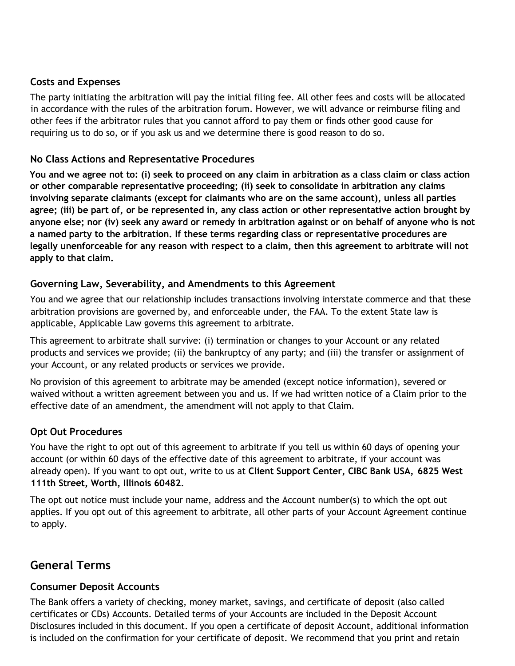### **Costs and Expenses**

The party initiating the arbitration will pay the initial filing fee. All other fees and costs will be allocated in accordance with the rules of the arbitration forum. However, we will advance or reimburse filing and other fees if the arbitrator rules that you cannot afford to pay them or finds other good cause for requiring us to do so, or if you ask us and we determine there is good reason to do so.

### **No Class Actions and Representative Procedures**

**You and we agree not to: (i) seek to proceed on any claim in arbitration as a class claim or class action or other comparable representative proceeding; (ii) seek to consolidate in arbitration any claims involving separate claimants (except for claimants who are on the same account), unless all parties agree; (iii) be part of, or be represented in, any class action or other representative action brought by anyone else; nor (iv) seek any award or remedy in arbitration against or on behalf of anyone who is not a named party to the arbitration. If these terms regarding class or representative procedures are legally unenforceable for any reason with respect to a claim, then this agreement to arbitrate will not apply to that claim.**

### **Governing Law, Severability, and Amendments to this Agreement**

You and we agree that our relationship includes transactions involving interstate commerce and that these arbitration provisions are governed by, and enforceable under, the FAA. To the extent State law is applicable, Applicable Law governs this agreement to arbitrate.

This agreement to arbitrate shall survive: (i) termination or changes to your Account or any related products and services we provide; (ii) the bankruptcy of any party; and (iii) the transfer or assignment of your Account, or any related products or services we provide.

No provision of this agreement to arbitrate may be amended (except notice information), severed or waived without a written agreement between you and us. If we had written notice of a Claim prior to the effective date of an amendment, the amendment will not apply to that Claim.

### **Opt Out Procedures**

You have the right to opt out of this agreement to arbitrate if you tell us within 60 days of opening your account (or within 60 days of the effective date of this agreement to arbitrate, if your account was already open). If you want to opt out, write to us at **Client Support Center, CIBC Bank USA, 6825 West 111th Street, Worth, Illinois 60482**.

The opt out notice must include your name, address and the Account number(s) to which the opt out applies. If you opt out of this agreement to arbitrate, all other parts of your Account Agreement continue to apply.

## **General Terms**

### **Consumer Deposit Accounts**

The Bank offers a variety of checking, money market, savings, and certificate of deposit (also called certificates or CDs) Accounts. Detailed terms of your Accounts are included in the Deposit Account Disclosures included in this document. If you open a certificate of deposit Account, additional information is included on the confirmation for your certificate of deposit. We recommend that you print and retain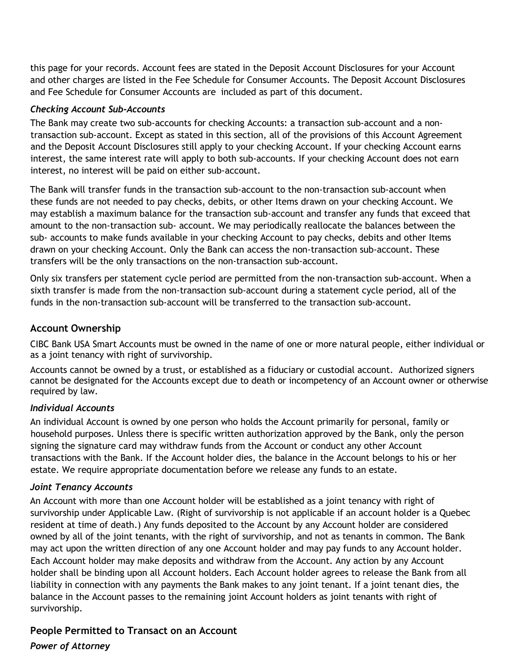this page for your records. Account fees are stated in the Deposit Account Disclosures for your Account and other charges are listed in the Fee Schedule for Consumer Accounts. The Deposit Account Disclosures and Fee Schedule for Consumer Accounts are included as part of this document.

#### *Checking Account Sub-Accounts*

The Bank may create two sub-accounts for checking Accounts: a transaction sub-account and a nontransaction sub-account. Except as stated in this section, all of the provisions of this Account Agreement and the Deposit Account Disclosures still apply to your checking Account. If your checking Account earns interest, the same interest rate will apply to both sub-accounts. If your checking Account does not earn interest, no interest will be paid on either sub-account.

The Bank will transfer funds in the transaction sub-account to the non-transaction sub-account when these funds are not needed to pay checks, debits, or other Items drawn on your checking Account. We may establish a maximum balance for the transaction sub-account and transfer any funds that exceed that amount to the non-transaction sub- account. We may periodically reallocate the balances between the sub- accounts to make funds available in your checking Account to pay checks, debits and other Items drawn on your checking Account. Only the Bank can access the non-transaction sub-account. These transfers will be the only transactions on the non-transaction sub-account.

Only six transfers per statement cycle period are permitted from the non-transaction sub-account. When a sixth transfer is made from the non-transaction sub-account during a statement cycle period, all of the funds in the non-transaction sub-account will be transferred to the transaction sub-account.

### **Account Ownership**

CIBC Bank USA Smart Accounts must be owned in the name of one or more natural people, either individual or as a joint tenancy with right of survivorship.

Accounts cannot be owned by a trust, or established as a fiduciary or custodial account. Authorized signers cannot be designated for the Accounts except due to death or incompetency of an Account owner or otherwise required by law.

### *Individual Accounts*

An individual Account is owned by one person who holds the Account primarily for personal, family or household purposes. Unless there is specific written authorization approved by the Bank, only the person signing the signature card may withdraw funds from the Account or conduct any other Account transactions with the Bank. If the Account holder dies, the balance in the Account belongs to his or her estate. We require appropriate documentation before we release any funds to an estate.

#### *Joint Tenancy Accounts*

An Account with more than one Account holder will be established as a joint tenancy with right of survivorship under Applicable Law. (Right of survivorship is not applicable if an account holder is a Quebec resident at time of death.) Any funds deposited to the Account by any Account holder are considered owned by all of the joint tenants, with the right of survivorship, and not as tenants in common. The Bank may act upon the written direction of any one Account holder and may pay funds to any Account holder. Each Account holder may make deposits and withdraw from the Account. Any action by any Account holder shall be binding upon all Account holders. Each Account holder agrees to release the Bank from all liability in connection with any payments the Bank makes to any joint tenant. If a joint tenant dies, the balance in the Account passes to the remaining joint Account holders as joint tenants with right of survivorship.

### **People Permitted to Transact on an Account**

#### *Power of Attorney*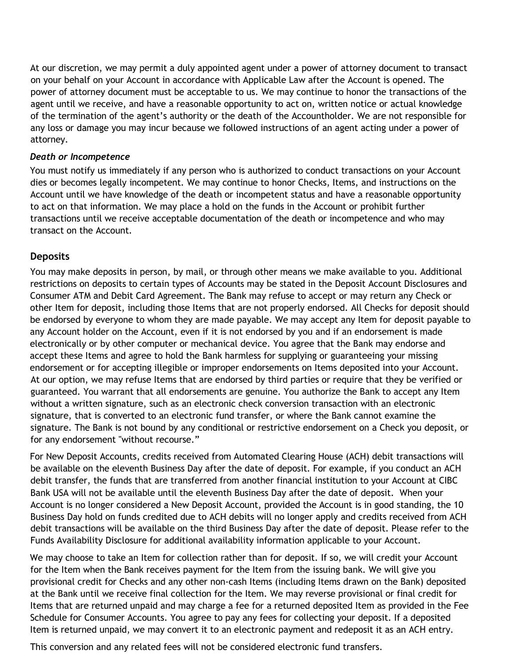At our discretion, we may permit a duly appointed agent under a power of attorney document to transact on your behalf on your Account in accordance with Applicable Law after the Account is opened. The power of attorney document must be acceptable to us. We may continue to honor the transactions of the agent until we receive, and have a reasonable opportunity to act on, written notice or actual knowledge of the termination of the agent's authority or the death of the Accountholder. We are not responsible for any loss or damage you may incur because we followed instructions of an agent acting under a power of attorney.

#### *Death or Incompetence*

You must notify us immediately if any person who is authorized to conduct transactions on your Account dies or becomes legally incompetent. We may continue to honor Checks, Items, and instructions on the Account until we have knowledge of the death or incompetent status and have a reasonable opportunity to act on that information. We may place a hold on the funds in the Account or prohibit further transactions until we receive acceptable documentation of the death or incompetence and who may transact on the Account.

#### **Deposits**

You may make deposits in person, by mail, or through other means we make available to you. Additional restrictions on deposits to certain types of Accounts may be stated in the Deposit Account Disclosures and Consumer ATM and Debit Card Agreement. The Bank may refuse to accept or may return any Check or other Item for deposit, including those Items that are not properly endorsed. All Checks for deposit should be endorsed by everyone to whom they are made payable. We may accept any Item for deposit payable to any Account holder on the Account, even if it is not endorsed by you and if an endorsement is made electronically or by other computer or mechanical device. You agree that the Bank may endorse and accept these Items and agree to hold the Bank harmless for supplying or guaranteeing your missing endorsement or for accepting illegible or improper endorsements on Items deposited into your Account. At our option, we may refuse Items that are endorsed by third parties or require that they be verified or guaranteed. You warrant that all endorsements are genuine. You authorize the Bank to accept any Item without a written signature, such as an electronic check conversion transaction with an electronic signature, that is converted to an electronic fund transfer, or where the Bank cannot examine the signature. The Bank is not bound by any conditional or restrictive endorsement on a Check you deposit, or for any endorsement "without recourse."

For New Deposit Accounts, credits received from Automated Clearing House (ACH) debit transactions will be available on the eleventh Business Day after the date of deposit. For example, if you conduct an ACH debit transfer, the funds that are transferred from another financial institution to your Account at CIBC Bank USA will not be available until the eleventh Business Day after the date of deposit. When your Account is no longer considered a New Deposit Account, provided the Account is in good standing, the 10 Business Day hold on funds credited due to ACH debits will no longer apply and credits received from ACH debit transactions will be available on the third Business Day after the date of deposit. Please refer to the Funds Availability Disclosure for additional availability information applicable to your Account.

We may choose to take an Item for collection rather than for deposit. If so, we will credit your Account for the Item when the Bank receives payment for the Item from the issuing bank. We will give you provisional credit for Checks and any other non-cash Items (including Items drawn on the Bank) deposited at the Bank until we receive final collection for the Item. We may reverse provisional or final credit for Items that are returned unpaid and may charge a fee for a returned deposited Item as provided in the Fee Schedule for Consumer Accounts. You agree to pay any fees for collecting your deposit. If a deposited Item is returned unpaid, we may convert it to an electronic payment and redeposit it as an ACH entry.

This conversion and any related fees will not be considered electronic fund transfers.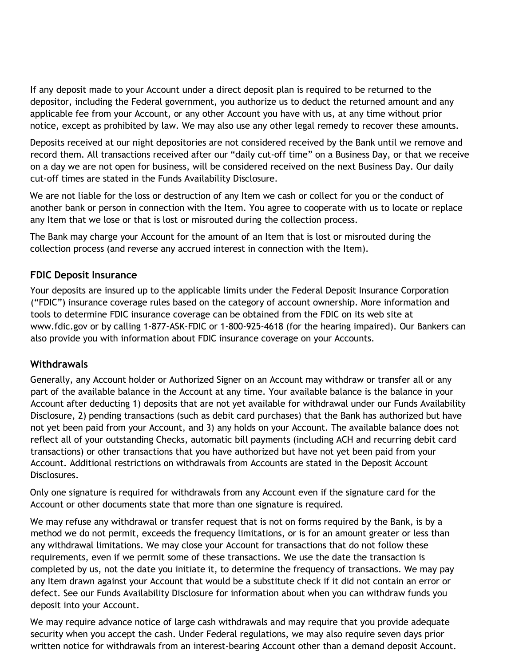If any deposit made to your Account under a direct deposit plan is required to be returned to the depositor, including the Federal government, you authorize us to deduct the returned amount and any applicable fee from your Account, or any other Account you have with us, at any time without prior notice, except as prohibited by law. We may also use any other legal remedy to recover these amounts.

Deposits received at our night depositories are not considered received by the Bank until we remove and record them. All transactions received after our "daily cut-off time" on a Business Day, or that we receive on a day we are not open for business, will be considered received on the next Business Day. Our daily cut-off times are stated in the Funds Availability Disclosure.

We are not liable for the loss or destruction of any Item we cash or collect for you or the conduct of another bank or person in connection with the Item. You agree to cooperate with us to locate or replace any Item that we lose or that is lost or misrouted during the collection process.

The Bank may charge your Account for the amount of an Item that is lost or misrouted during the collection process (and reverse any accrued interest in connection with the Item).

### **FDIC Deposit Insurance**

Your deposits are insured up to the applicable limits under the Federal Deposit Insurance Corporation ("FDIC") insurance coverage rules based on the category of account ownership. More information and tools to determine FDIC insurance coverage can be obtained from the FDIC on its web site at [www.fdic.gov](http://www.fdic.gov/) or by calling 1-877-ASK-FDIC or 1-800-925-4618 (for the hearing impaired). Our Bankers can also provide you with information about FDIC insurance coverage on your Accounts.

### **Withdrawals**

Generally, any Account holder or Authorized Signer on an Account may withdraw or transfer all or any part of the available balance in the Account at any time. Your available balance is the balance in your Account after deducting 1) deposits that are not yet available for withdrawal under our Funds Availability Disclosure, 2) pending transactions (such as debit card purchases) that the Bank has authorized but have not yet been paid from your Account, and 3) any holds on your Account. The available balance does not reflect all of your outstanding Checks, automatic bill payments (including ACH and recurring debit card transactions) or other transactions that you have authorized but have not yet been paid from your Account. Additional restrictions on withdrawals from Accounts are stated in the Deposit Account Disclosures.

Only one signature is required for withdrawals from any Account even if the signature card for the Account or other documents state that more than one signature is required.

We may refuse any withdrawal or transfer request that is not on forms required by the Bank, is by a method we do not permit, exceeds the frequency limitations, or is for an amount greater or less than any withdrawal limitations. We may close your Account for transactions that do not follow these requirements, even if we permit some of these transactions. We use the date the transaction is completed by us, not the date you initiate it, to determine the frequency of transactions. We may pay any Item drawn against your Account that would be a substitute check if it did not contain an error or defect. See our Funds Availability Disclosure for information about when you can withdraw funds you deposit into your Account.

We may require advance notice of large cash withdrawals and may require that you provide adequate security when you accept the cash. Under Federal regulations, we may also require seven days prior written notice for withdrawals from an interest-bearing Account other than a demand deposit Account.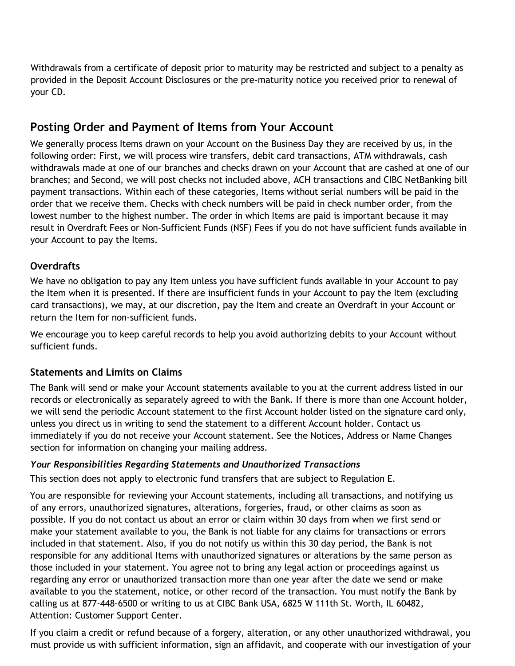Withdrawals from a certificate of deposit prior to maturity may be restricted and subject to a penalty as provided in the Deposit Account Disclosures or the pre-maturity notice you received prior to renewal of your CD.

### **Posting Order and Payment of Items from Your Account**

We generally process Items drawn on your Account on the Business Day they are received by us, in the following order: First, we will process wire transfers, debit card transactions, ATM withdrawals, cash withdrawals made at one of our branches and checks drawn on your Account that are cashed at one of our branches; and Second, we will post checks not included above, ACH transactions and CIBC NetBanking bill payment transactions. Within each of these categories, Items without serial numbers will be paid in the order that we receive them. Checks with check numbers will be paid in check number order, from the lowest number to the highest number. The order in which Items are paid is important because it may result in Overdraft Fees or Non-Sufficient Funds (NSF) Fees if you do not have sufficient funds available in your Account to pay the Items.

### **Overdrafts**

We have no obligation to pay any Item unless you have sufficient funds available in your Account to pay the Item when it is presented. If there are insufficient funds in your Account to pay the Item (excluding card transactions), we may, at our discretion, pay the Item and create an Overdraft in your Account or return the Item for non-sufficient funds.

We encourage you to keep careful records to help you avoid authorizing debits to your Account without sufficient funds.

### **Statements and Limits on Claims**

The Bank will send or make your Account statements available to you at the current address listed in our records or electronically as separately agreed to with the Bank. If there is more than one Account holder, we will send the periodic Account statement to the first Account holder listed on the signature card only, unless you direct us in writing to send the statement to a different Account holder. Contact us immediately if you do not receive your Account statement. See the Notices, Address or Name Changes section for information on changing your mailing address.

### *Your Responsibilities Regarding Statements and Unauthorized Transactions*

This section does not apply to electronic fund transfers that are subject to Regulation E.

You are responsible for reviewing your Account statements, including all transactions, and notifying us of any errors, unauthorized signatures, alterations, forgeries, fraud, or other claims as soon as possible. If you do not contact us about an error or claim within 30 days from when we first send or make your statement available to you, the Bank is not liable for any claims for transactions or errors included in that statement. Also, if you do not notify us within this 30 day period, the Bank is not responsible for any additional Items with unauthorized signatures or alterations by the same person as those included in your statement. You agree not to bring any legal action or proceedings against us regarding any error or unauthorized transaction more than one year after the date we send or make available to you the statement, notice, or other record of the transaction. You must notify the Bank by calling us at 877-448-6500 or writing to us at CIBC Bank USA, 6825 W 111th St. Worth, IL 60482, Attention: Customer Support Center.

If you claim a credit or refund because of a forgery, alteration, or any other unauthorized withdrawal, you must provide us with sufficient information, sign an affidavit, and cooperate with our investigation of your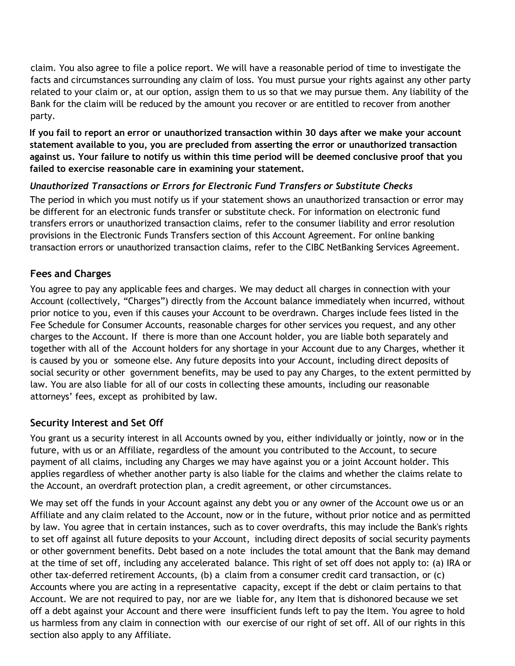claim. You also agree to file a police report. We will have a reasonable period of time to investigate the facts and circumstances surrounding any claim of loss. You must pursue your rights against any other party related to your claim or, at our option, assign them to us so that we may pursue them. Any liability of the Bank for the claim will be reduced by the amount you recover or are entitled to recover from another party.

**If you fail to report an error or unauthorized transaction within 30 days after we make your account statement available to you, you are precluded from asserting the error or unauthorized transaction against us. Your failure to notify us within this time period will be deemed conclusive proof that you failed to exercise reasonable care in examining your statement.**

### *Unauthorized Transactions or Errors for Electronic Fund Transfers or Substitute Checks*

The period in which you must notify us if your statement shows an unauthorized transaction or error may be different for an electronic funds transfer or substitute check. For information on electronic fund transfers errors or unauthorized transaction claims, refer to the consumer liability and error resolution provisions in the Electronic Funds Transfers section of this Account Agreement. For online banking transaction errors or unauthorized transaction claims, refer to the CIBC NetBanking Services Agreement.

### **Fees and Charges**

You agree to pay any applicable fees and charges. We may deduct all charges in connection with your Account (collectively, "Charges") directly from the Account balance immediately when incurred, without prior notice to you, even if this causes your Account to be overdrawn. Charges include fees listed in the Fee Schedule for Consumer Accounts, reasonable charges for other services you request, and any other charges to the Account. If there is more than one Account holder, you are liable both separately and together with all of the Account holders for any shortage in your Account due to any Charges, whether it is caused by you or someone else. Any future deposits into your Account, including direct deposits of social security or other government benefits, may be used to pay any Charges, to the extent permitted by law. You are also liable for all of our costs in collecting these amounts, including our reasonable attorneys' fees, except as prohibited by law.

### **Security Interest and Set Off**

You grant us a security interest in all Accounts owned by you, either individually or jointly, now or in the future, with us or an Affiliate, regardless of the amount you contributed to the Account, to secure payment of all claims, including any Charges we may have against you or a joint Account holder. This applies regardless of whether another party is also liable for the claims and whether the claims relate to the Account, an overdraft protection plan, a credit agreement, or other circumstances.

We may set off the funds in your Account against any debt you or any owner of the Account owe us or an Affiliate and any claim related to the Account, now or in the future, without prior notice and as permitted by law. You agree that in certain instances, such as to cover overdrafts, this may include the Bank's rights to set off against all future deposits to your Account, including direct deposits of social security payments or other government benefits. Debt based on a note includes the total amount that the Bank may demand at the time of set off, including any accelerated balance. This right of set off does not apply to: (a) IRA or other tax-deferred retirement Accounts, (b) a claim from a consumer credit card transaction, or (c) Accounts where you are acting in a representative capacity, except if the debt or claim pertains to that Account. We are not required to pay, nor are we liable for, any Item that is dishonored because we set off a debt against your Account and there were insufficient funds left to pay the Item. You agree to hold us harmless from any claim in connection with our exercise of our right of set off. All of our rights in this section also apply to any Affiliate.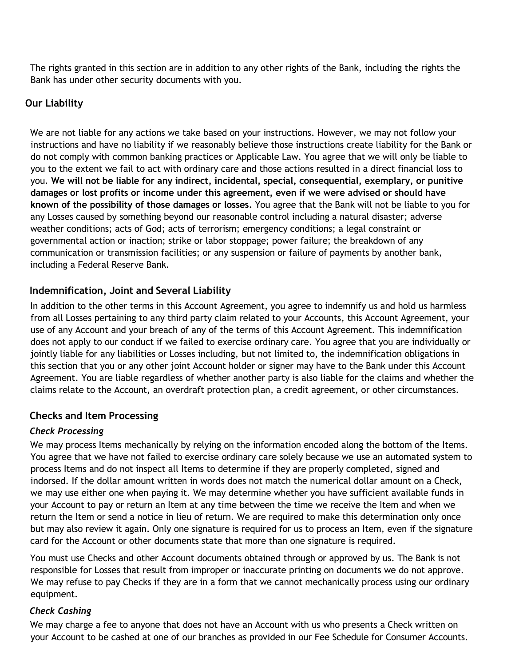The rights granted in this section are in addition to any other rights of the Bank, including the rights the Bank has under other security documents with you.

### **Our Liability**

We are not liable for any actions we take based on your instructions. However, we may not follow your instructions and have no liability if we reasonably believe those instructions create liability for the Bank or do not comply with common banking practices or Applicable Law. You agree that we will only be liable to you to the extent we fail to act with ordinary care and those actions resulted in a direct financial loss to you. **We will not be liable for any indirect, incidental, special, consequential, exemplary, or punitive damages or lost profits or income under this agreement, even if we were advised or should have known of the possibility of those damages or losses.** You agree that the Bank will not be liable to you for any Losses caused by something beyond our reasonable control including a natural disaster; adverse weather conditions; acts of God; acts of terrorism; emergency conditions; a legal constraint or governmental action or inaction; strike or labor stoppage; power failure; the breakdown of any communication or transmission facilities; or any suspension or failure of payments by another bank, including a Federal Reserve Bank.

### **Indemnification, Joint and Several Liability**

In addition to the other terms in this Account Agreement, you agree to indemnify us and hold us harmless from all Losses pertaining to any third party claim related to your Accounts, this Account Agreement, your use of any Account and your breach of any of the terms of this Account Agreement. This indemnification does not apply to our conduct if we failed to exercise ordinary care. You agree that you are individually or jointly liable for any liabilities or Losses including, but not limited to, the indemnification obligations in this section that you or any other joint Account holder or signer may have to the Bank under this Account Agreement. You are liable regardless of whether another party is also liable for the claims and whether the claims relate to the Account, an overdraft protection plan, a credit agreement, or other circumstances.

### **Checks and Item Processing**

### *Check Processing*

We may process Items mechanically by relying on the information encoded along the bottom of the Items. You agree that we have not failed to exercise ordinary care solely because we use an automated system to process Items and do not inspect all Items to determine if they are properly completed, signed and indorsed. If the dollar amount written in words does not match the numerical dollar amount on a Check, we may use either one when paying it. We may determine whether you have sufficient available funds in your Account to pay or return an Item at any time between the time we receive the Item and when we return the Item or send a notice in lieu of return. We are required to make this determination only once but may also review it again. Only one signature is required for us to process an Item, even if the signature card for the Account or other documents state that more than one signature is required.

You must use Checks and other Account documents obtained through or approved by us. The Bank is not responsible for Losses that result from improper or inaccurate printing on documents we do not approve. We may refuse to pay Checks if they are in a form that we cannot mechanically process using our ordinary equipment.

### *Check Cashing*

We may charge a fee to anyone that does not have an Account with us who presents a Check written on your Account to be cashed at one of our branches as provided in our Fee Schedule for Consumer Accounts.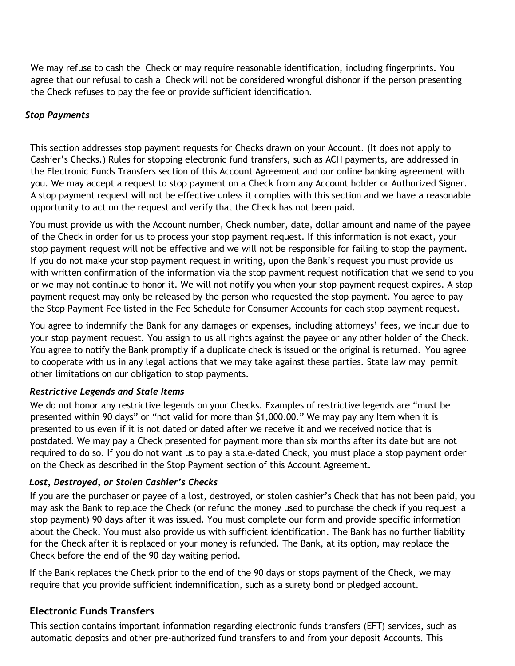We may refuse to cash the Check or may require reasonable identification, including fingerprints. You agree that our refusal to cash a Check will not be considered wrongful dishonor if the person presenting the Check refuses to pay the fee or provide sufficient identification.

### *Stop Payments*

This section addresses stop payment requests for Checks drawn on your Account. (It does not apply to Cashier's Checks.) Rules for stopping electronic fund transfers, such as ACH payments, are addressed in the Electronic Funds Transfers section of this Account Agreement and our online banking agreement with you. We may accept a request to stop payment on a Check from any Account holder or Authorized Signer. A stop payment request will not be effective unless it complies with this section and we have a reasonable opportunity to act on the request and verify that the Check has not been paid.

You must provide us with the Account number, Check number, date, dollar amount and name of the payee of the Check in order for us to process your stop payment request. If this information is not exact, your stop payment request will not be effective and we will not be responsible for failing to stop the payment. If you do not make your stop payment request in writing, upon the Bank's request you must provide us with written confirmation of the information via the stop payment request notification that we send to you or we may not continue to honor it. We will not notify you when your stop payment request expires. A stop payment request may only be released by the person who requested the stop payment. You agree to pay the Stop Payment Fee listed in the Fee Schedule for Consumer Accounts for each stop payment request.

You agree to indemnify the Bank for any damages or expenses, including attorneys' fees, we incur due to your stop payment request. You assign to us all rights against the payee or any other holder of the Check. You agree to notify the Bank promptly if a duplicate check is issued or the original is returned. You agree to cooperate with us in any legal actions that we may take against these parties. State law may permit other limitations on our obligation to stop payments.

### *Restrictive Legends and Stale Items*

We do not honor any restrictive legends on your Checks. Examples of restrictive legends are "must be presented within 90 days" or "not valid for more than \$1,000.00." We may pay any Item when it is presented to us even if it is not dated or dated after we receive it and we received notice that is postdated. We may pay a Check presented for payment more than six months after its date but are not required to do so. If you do not want us to pay a stale-dated Check, you must place a stop payment order on the Check as described in the Stop Payment section of this Account Agreement.

### *Lost, Destroyed, or Stolen Cashier's Checks*

If you are the purchaser or payee of a lost, destroyed, or stolen cashier's Check that has not been paid, you may ask the Bank to replace the Check (or refund the money used to purchase the check if you request a stop payment) 90 days after it was issued. You must complete our form and provide specific information about the Check. You must also provide us with sufficient identification. The Bank has no further liability for the Check after it is replaced or your money is refunded. The Bank, at its option, may replace the Check before the end of the 90 day waiting period.

If the Bank replaces the Check prior to the end of the 90 days or stops payment of the Check, we may require that you provide sufficient indemnification, such as a surety bond or pledged account.

### **Electronic Funds Transfers**

This section contains important information regarding electronic funds transfers (EFT) services, such as automatic deposits and other pre-authorized fund transfers to and from your deposit Accounts. This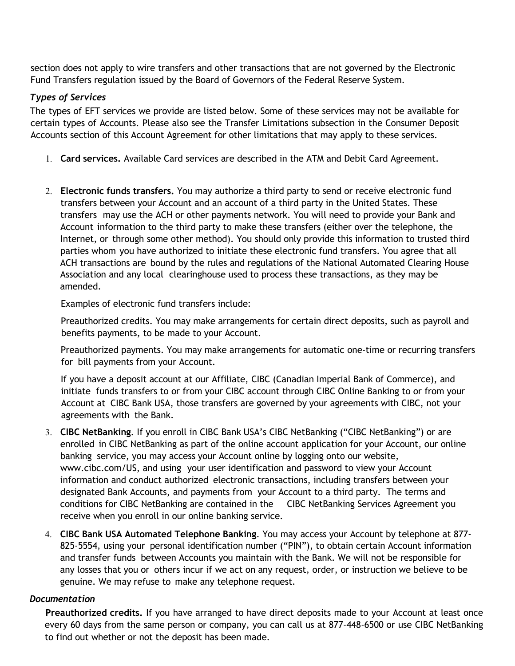section does not apply to wire transfers and other transactions that are not governed by the Electronic Fund Transfers regulation issued by the Board of Governors of the Federal Reserve System.

### *Types of Services*

The types of EFT services we provide are listed below. Some of these services may not be available for certain types of Accounts. Please also see the Transfer Limitations subsection in the Consumer Deposit Accounts section of this Account Agreement for other limitations that may apply to these services.

- 1. **Card services.** Available Card services are described in the ATM and Debit Card Agreement.
- 2. **Electronic funds transfers.** You may authorize a third party to send or receive electronic fund transfers between your Account and an account of a third party in the United States. These transfers may use the ACH or other payments network. You will need to provide your Bank and Account information to the third party to make these transfers (either over the telephone, the Internet, or through some other method). You should only provide this information to trusted third parties whom you have authorized to initiate these electronic fund transfers. You agree that all ACH transactions are bound by the rules and regulations of the National Automated Clearing House Association and any local clearinghouse used to process these transactions, as they may be amended.

Examples of electronic fund transfers include:

Preauthorized credits. You may make arrangements for certain direct deposits, such as payroll and benefits payments, to be made to your Account.

Preauthorized payments. You may make arrangements for automatic one-time or recurring transfers for bill payments from your Account.

If you have a deposit account at our Affiliate, CIBC (Canadian Imperial Bank of Commerce), and initiate funds transfers to or from your CIBC account through CIBC Online Banking to or from your Account at CIBC Bank USA, those transfers are governed by your agreements with CIBC, not your agreements with the Bank.

- 3. **CIBC NetBanking**. If you enroll in CIBC Bank USA's CIBC NetBanking ("CIBC NetBanking") or are enrolled in CIBC NetBanking as part of the online account application for your Account, our online banking service, you may access your Account online by logging onto our website, [www.cibc.com/US,](http://www.cibc.com/US) and using your user identification and password to view your Account information and conduct authorized electronic transactions, including transfers between your designated Bank Accounts, and payments from your Account to a third party. The terms and conditions for CIBC NetBanking are contained in the CIBC NetBanking Services Agreement you receive when you enroll in our online banking service.
- 4. **CIBC Bank USA Automated Telephone Banking**. You may access your Account by telephone at 877- 825-5554, using your personal identification number ("PIN"), to obtain certain Account information and transfer funds between Accounts you maintain with the Bank. We will not be responsible for any losses that you or others incur if we act on any request, order, or instruction we believe to be genuine. We may refuse to make any telephone request.

#### *Documentation*

**Preauthorized credits.** If you have arranged to have direct deposits made to your Account at least once every 60 days from the same person or company, you can call us at 877-448-6500 or use CIBC NetBanking to find out whether or not the deposit has been made.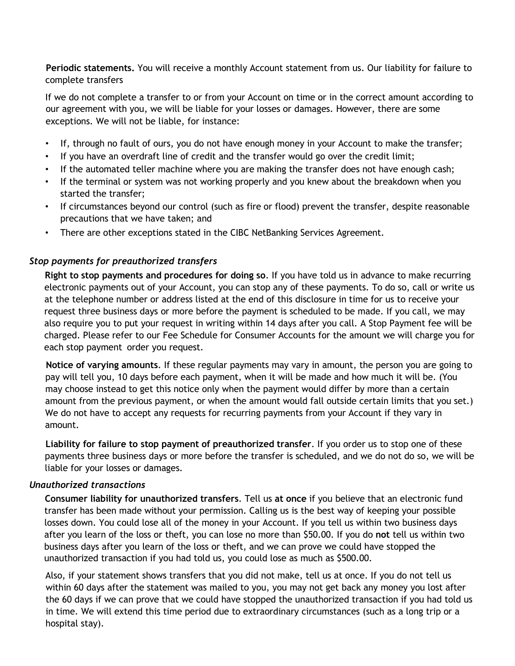**Periodic statements.** You will receive a monthly Account statement from us. Our liability for failure to complete transfers

If we do not complete a transfer to or from your Account on time or in the correct amount according to our agreement with you, we will be liable for your losses or damages. However, there are some exceptions. We will not be liable, for instance:

- If, through no fault of ours, you do not have enough money in your Account to make the transfer;
- If you have an overdraft line of credit and the transfer would go over the credit limit;
- If the automated teller machine where you are making the transfer does not have enough cash;
- If the terminal or system was not working properly and you knew about the breakdown when you started the transfer;
- If circumstances beyond our control (such as fire or flood) prevent the transfer, despite reasonable precautions that we have taken; and
- There are other exceptions stated in the CIBC NetBanking Services Agreement.

#### *Stop payments for preauthorized transfers*

**Right to stop payments and procedures for doing so**. If you have told us in advance to make recurring electronic payments out of your Account, you can stop any of these payments. To do so, call or write us at the telephone number or address listed at the end of this disclosure in time for us to receive your request three business days or more before the payment is scheduled to be made. If you call, we may also require you to put your request in writing within 14 days after you call. A Stop Payment fee will be charged. Please refer to our Fee Schedule for Consumer Accounts for the amount we will charge you for each stop payment order you request.

**Notice of varying amounts**. If these regular payments may vary in amount, the person you are going to pay will tell you, 10 days before each payment, when it will be made and how much it will be. (You may choose instead to get this notice only when the payment would differ by more than a certain amount from the previous payment, or when the amount would fall outside certain limits that you set.) We do not have to accept any requests for recurring payments from your Account if they vary in amount.

**Liability for failure to stop payment of preauthorized transfer**. If you order us to stop one of these payments three business days or more before the transfer is scheduled, and we do not do so, we will be liable for your losses or damages.

#### *Unauthorized transactions*

**Consumer liability for unauthorized transfers**. Tell us **at once** if you believe that an electronic fund transfer has been made without your permission. Calling us is the best way of keeping your possible losses down. You could lose all of the money in your Account. If you tell us within two business days after you learn of the loss or theft, you can lose no more than \$50.00. If you do **not** tell us within two business days after you learn of the loss or theft, and we can prove we could have stopped the unauthorized transaction if you had told us, you could lose as much as \$500.00.

Also, if your statement shows transfers that you did not make, tell us at once. If you do not tell us within 60 days after the statement was mailed to you, you may not get back any money you lost after the 60 days if we can prove that we could have stopped the unauthorized transaction if you had told us in time. We will extend this time period due to extraordinary circumstances (such as a long trip or a hospital stay).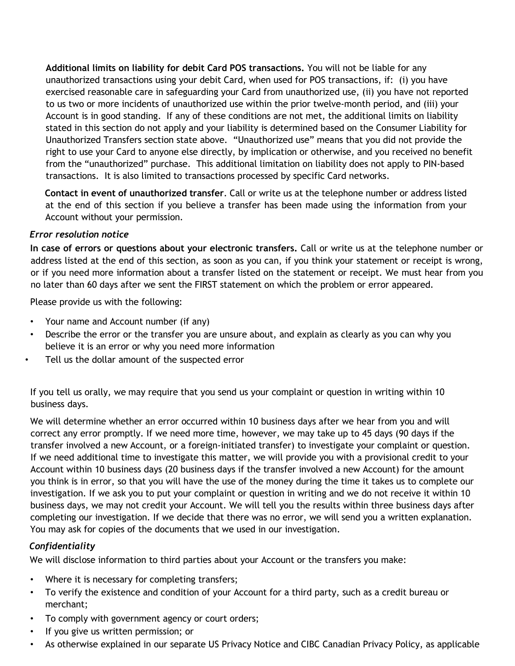**Additional limits on liability for debit Card POS transactions.** You will not be liable for any unauthorized transactions using your debit Card, when used for POS transactions, if: (i) you have exercised reasonable care in safeguarding your Card from unauthorized use, (ii) you have not reported to us two or more incidents of unauthorized use within the prior twelve-month period, and (iii) your Account is in good standing. If any of these conditions are not met, the additional limits on liability stated in this section do not apply and your liability is determined based on the Consumer Liability for Unauthorized Transfers section state above. "Unauthorized use" means that you did not provide the right to use your Card to anyone else directly, by implication or otherwise, and you received no benefit from the "unauthorized" purchase. This additional limitation on liability does not apply to PIN-based transactions. It is also limited to transactions processed by specific Card networks.

**Contact in event of unauthorized transfer**. Call or write us at the telephone number or address listed at the end of this section if you believe a transfer has been made using the information from your Account without your permission.

#### *Error resolution notice*

**In case of errors or questions about your electronic transfers.** Call or write us at the telephone number or address listed at the end of this section, as soon as you can, if you think your statement or receipt is wrong, or if you need more information about a transfer listed on the statement or receipt. We must hear from you no later than 60 days after we sent the FIRST statement on which the problem or error appeared.

Please provide us with the following:

- Your name and Account number (if any)
- Describe the error or the transfer you are unsure about, and explain as clearly as you can why you believe it is an error or why you need more information
- Tell us the dollar amount of the suspected error

If you tell us orally, we may require that you send us your complaint or question in writing within 10 business days.

We will determine whether an error occurred within 10 business days after we hear from you and will correct any error promptly. If we need more time, however, we may take up to 45 days (90 days if the transfer involved a new Account, or a foreign-initiated transfer) to investigate your complaint or question. If we need additional time to investigate this matter, we will provide you with a provisional credit to your Account within 10 business days (20 business days if the transfer involved a new Account) for the amount you think is in error, so that you will have the use of the money during the time it takes us to complete our investigation. If we ask you to put your complaint or question in writing and we do not receive it within 10 business days, we may not credit your Account. We will tell you the results within three business days after completing our investigation. If we decide that there was no error, we will send you a written explanation. You may ask for copies of the documents that we used in our investigation.

### *Confidentiality*

We will disclose information to third parties about your Account or the transfers you make:

- Where it is necessary for completing transfers;
- To verify the existence and condition of your Account for a third party, such as a credit bureau or merchant;
- To comply with government agency or court orders;
- If you give us written permission; or
- As otherwise explained in our separate US Privacy Notice and CIBC Canadian Privacy Policy, as applicable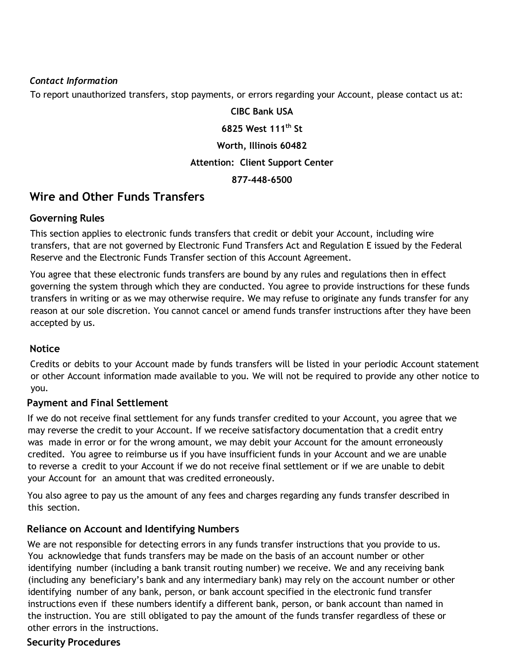#### *Contact Information*

To report unauthorized transfers, stop payments, or errors regarding your Account, please contact us at:

**CIBC Bank USA 6825 West 111th St Worth, Illinois 60482 Attention: Client Support Center 877-448-6500**

### **Wire and Other Funds Transfers**

### **Governing Rules**

This section applies to electronic funds transfers that credit or debit your Account, including wire transfers, that are not governed by Electronic Fund Transfers Act and Regulation E issued by the Federal Reserve and the Electronic Funds Transfer section of this Account Agreement.

You agree that these electronic funds transfers are bound by any rules and regulations then in effect governing the system through which they are conducted. You agree to provide instructions for these funds transfers in writing or as we may otherwise require. We may refuse to originate any funds transfer for any reason at our sole discretion. You cannot cancel or amend funds transfer instructions after they have been accepted by us.

### **Notice**

Credits or debits to your Account made by funds transfers will be listed in your periodic Account statement or other Account information made available to you. We will not be required to provide any other notice to you.

### **Payment and Final Settlement**

If we do not receive final settlement for any funds transfer credited to your Account, you agree that we may reverse the credit to your Account. If we receive satisfactory documentation that a credit entry was made in error or for the wrong amount, we may debit your Account for the amount erroneously credited. You agree to reimburse us if you have insufficient funds in your Account and we are unable to reverse a credit to your Account if we do not receive final settlement or if we are unable to debit your Account for an amount that was credited erroneously.

You also agree to pay us the amount of any fees and charges regarding any funds transfer described in this section.

### **Reliance on Account and Identifying Numbers**

We are not responsible for detecting errors in any funds transfer instructions that you provide to us. You acknowledge that funds transfers may be made on the basis of an account number or other identifying number (including a bank transit routing number) we receive. We and any receiving bank (including any beneficiary's bank and any intermediary bank) may rely on the account number or other identifying number of any bank, person, or bank account specified in the electronic fund transfer instructions even if these numbers identify a different bank, person, or bank account than named in the instruction. You are still obligated to pay the amount of the funds transfer regardless of these or other errors in the instructions.

### **Security Procedures**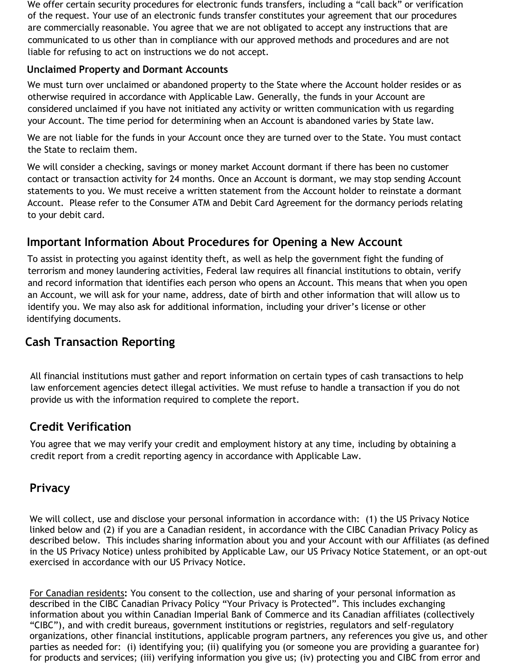We offer certain security procedures for electronic funds transfers, including a "call back" or verification of the request. Your use of an electronic funds transfer constitutes your agreement that our procedures are commercially reasonable. You agree that we are not obligated to accept any instructions that are communicated to us other than in compliance with our approved methods and procedures and are not liable for refusing to act on instructions we do not accept.

### **Unclaimed Property and Dormant Accounts**

We must turn over unclaimed or abandoned property to the State where the Account holder resides or as otherwise required in accordance with Applicable Law. Generally, the funds in your Account are considered unclaimed if you have not initiated any activity or written communication with us regarding your Account. The time period for determining when an Account is abandoned varies by State law.

We are not liable for the funds in your Account once they are turned over to the State. You must contact the State to reclaim them.

We will consider a checking, savings or money market Account dormant if there has been no customer contact or transaction activity for 24 months. Once an Account is dormant, we may stop sending Account statements to you. We must receive a written statement from the Account holder to reinstate a dormant Account. Please refer to the Consumer ATM and Debit Card Agreement for the dormancy periods relating to your debit card.

### **Important Information About Procedures for Opening a New Account**

To assist in protecting you against identity theft, as well as help the government fight the funding of terrorism and money laundering activities, Federal law requires all financial institutions to obtain, verify and record information that identifies each person who opens an Account. This means that when you open an Account, we will ask for your name, address, date of birth and other information that will allow us to identify you. We may also ask for additional information, including your driver's license or other identifying documents.

### **Cash Transaction Reporting**

All financial institutions must gather and report information on certain types of cash transactions to help law enforcement agencies detect illegal activities. We must refuse to handle a transaction if you do not provide us with the information required to complete the report.

### **Credit Verification**

You agree that we may verify your credit and employment history at any time, including by obtaining a credit report from a credit reporting agency in accordance with Applicable Law.

### **Privacy**

We will collect, use and disclose your personal information in accordance with: (1) the US Privacy Notice linked below and (2) if you are a Canadian resident, in accordance with the CIBC Canadian Privacy Policy as described below. This includes sharing information about you and your Account with our Affiliates (as defined in the US Privacy Notice) unless prohibited by Applicable Law, our US Privacy Notice Statement, or an opt-out exercised in accordance with our US Privacy Notice.

For Canadian residents**:** You consent to the collection, use and sharing of your personal information as described in the CIBC Canadian Privacy Policy "Your Privacy is Protected". This includes exchanging information about you within Canadian Imperial Bank of Commerce and its Canadian affiliates (collectively "CIBC"), and with credit bureaus, government institutions or registries, regulators and self-regulatory organizations, other financial institutions, applicable program partners, any references you give us, and other parties as needed for: (i) identifying you; (ii) qualifying you (or someone you are providing a guarantee for) for products and services; (iii) verifying information you give us; (iv) protecting you and CIBC from error and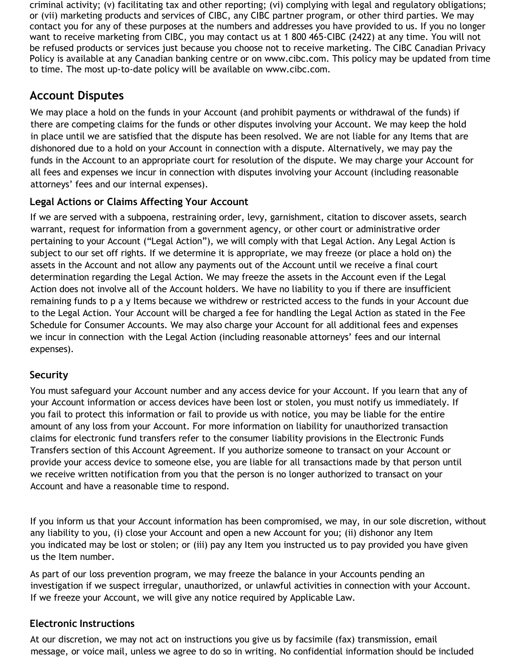criminal activity; (v) facilitating tax and other reporting; (vi) complying with legal and regulatory obligations; or (vii) marketing products and services of CIBC, any CIBC partner program, or other third parties. We may contact you for any of these purposes at the numbers and addresses you have provided to us. If you no longer want to receive marketing from CIBC, you may contact us at 1 800 465-CIBC (2422) at any time. You will not be refused products or services just because you choose not to receive marketing*.* The CIBC Canadian Privacy Policy is available at any Canadian banking centre or on www.cibc.com. This policy may be updated from time to time. The most up-to-date policy will be available on www.cibc.com.

## **Account Disputes**

We may place a hold on the funds in your Account (and prohibit payments or withdrawal of the funds) if there are competing claims for the funds or other disputes involving your Account. We may keep the hold in place until we are satisfied that the dispute has been resolved. We are not liable for any Items that are dishonored due to a hold on your Account in connection with a dispute. Alternatively, we may pay the funds in the Account to an appropriate court for resolution of the dispute. We may charge your Account for all fees and expenses we incur in connection with disputes involving your Account (including reasonable attorneys' fees and our internal expenses).

### **Legal Actions or Claims Affecting Your Account**

If we are served with a subpoena, restraining order, levy, garnishment, citation to discover assets, search warrant, request for information from a government agency, or other court or administrative order pertaining to your Account ("Legal Action"), we will comply with that Legal Action. Any Legal Action is subject to our set off rights. If we determine it is appropriate, we may freeze (or place a hold on) the assets in the Account and not allow any payments out of the Account until we receive a final court determination regarding the Legal Action. We may freeze the assets in the Account even if the Legal Action does not involve all of the Account holders. We have no liability to you if there are insufficient remaining funds to p a y Items because we withdrew or restricted access to the funds in your Account due to the Legal Action. Your Account will be charged a fee for handling the Legal Action as stated in the Fee Schedule for Consumer Accounts. We may also charge your Account for all additional fees and expenses we incur in connection with the Legal Action (including reasonable attorneys' fees and our internal expenses).

### **Security**

You must safeguard your Account number and any access device for your Account. If you learn that any of your Account information or access devices have been lost or stolen, you must notify us immediately. If you fail to protect this information or fail to provide us with notice, you may be liable for the entire amount of any loss from your Account. For more information on liability for unauthorized transaction claims for electronic fund transfers refer to the consumer liability provisions in the Electronic Funds Transfers section of this Account Agreement. If you authorize someone to transact on your Account or provide your access device to someone else, you are liable for all transactions made by that person until we receive written notification from you that the person is no longer authorized to transact on your Account and have a reasonable time to respond.

If you inform us that your Account information has been compromised, we may, in our sole discretion, without any liability to you, (i) close your Account and open a new Account for you; (ii) dishonor any Item you indicated may be lost or stolen; or (iii) pay any Item you instructed us to pay provided you have given us the Item number.

As part of our loss prevention program, we may freeze the balance in your Accounts pending an investigation if we suspect irregular, unauthorized, or unlawful activities in connection with your Account. If we freeze your Account, we will give any notice required by Applicable Law.

### **Electronic Instructions**

At our discretion, we may not act on instructions you give us by facsimile (fax) transmission, email message, or voice mail, unless we agree to do so in writing. No confidential information should be included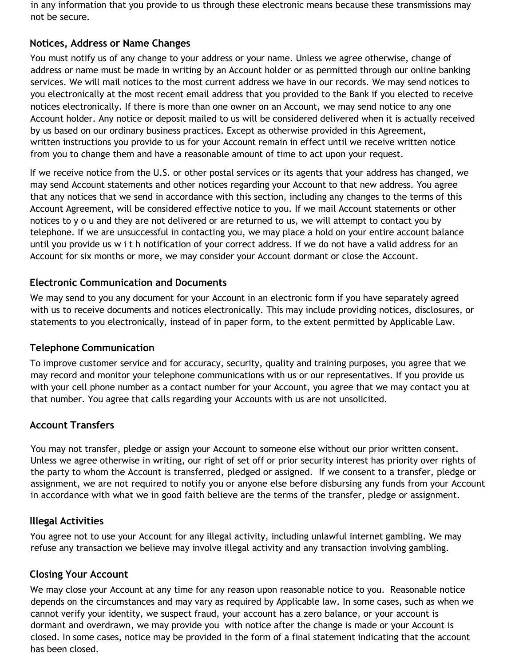in any information that you provide to us through these electronic means because these transmissions may not be secure.

### **Notices, Address or Name Changes**

You must notify us of any change to your address or your name. Unless we agree otherwise, change of address or name must be made in writing by an Account holder or as permitted through our online banking services. We will mail notices to the most current address we have in our records. We may send notices to you electronically at the most recent email address that you provided to the Bank if you elected to receive notices electronically. If there is more than one owner on an Account, we may send notice to any one Account holder. Any notice or deposit mailed to us will be considered delivered when it is actually received by us based on our ordinary business practices. Except as otherwise provided in this Agreement, written instructions you provide to us for your Account remain in effect until we receive written notice from you to change them and have a reasonable amount of time to act upon your request.

If we receive notice from the U.S. or other postal services or its agents that your address has changed, we may send Account statements and other notices regarding your Account to that new address. You agree that any notices that we send in accordance with this section, including any changes to the terms of this Account Agreement, will be considered effective notice to you. If we mail Account statements or other notices to y o u and they are not delivered or are returned to us, we will attempt to contact you by telephone. If we are unsuccessful in contacting you, we may place a hold on your entire account balance until you provide us w i t h notification of your correct address. If we do not have a valid address for an Account for six months or more, we may consider your Account dormant or close the Account.

### **Electronic Communication and Documents**

We may send to you any document for your Account in an electronic form if you have separately agreed with us to receive documents and notices electronically. This may include providing notices, disclosures, or statements to you electronically, instead of in paper form, to the extent permitted by Applicable Law.

### **Telephone Communication**

To improve customer service and for accuracy, security, quality and training purposes, you agree that we may record and monitor your telephone communications with us or our representatives. If you provide us with your cell phone number as a contact number for your Account, you agree that we may contact you at that number. You agree that calls regarding your Accounts with us are not unsolicited.

### **Account Transfers**

You may not transfer, pledge or assign your Account to someone else without our prior written consent. Unless we agree otherwise in writing, our right of set off or prior security interest has priority over rights of the party to whom the Account is transferred, pledged or assigned. If we consent to a transfer, pledge or assignment, we are not required to notify you or anyone else before disbursing any funds from your Account in accordance with what we in good faith believe are the terms of the transfer, pledge or assignment.

### **Illegal Activities**

You agree not to use your Account for any illegal activity, including unlawful internet gambling. We may refuse any transaction we believe may involve illegal activity and any transaction involving gambling.

### **Closing Your Account**

We may close your Account at any time for any reason upon reasonable notice to you. Reasonable notice depends on the circumstances and may vary as required by Applicable law. In some cases, such as when we cannot verify your identity, we suspect fraud, your account has a zero balance, or your account is dormant and overdrawn, we may provide you with notice after the change is made or your Account is closed. In some cases, notice may be provided in the form of a final statement indicating that the account has been closed.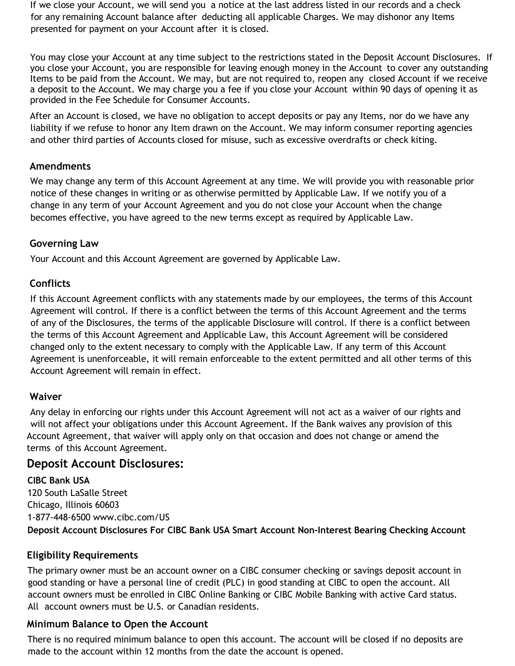If we close your Account, we will send you a notice at the last address listed in our records and a check for any remaining Account balance after deducting all applicable Charges. We may dishonor any Items presented for payment on your Account after it is closed.

You may close your Account at any time subject to the restrictions stated in the Deposit Account Disclosures. If you close your Account, you are responsible for leaving enough money in the Account to cover any outstanding Items to be paid from the Account. We may, but are not required to, reopen any closed Account if we receive a deposit to the Account. We may charge you a fee if you close your Account within 90 days of opening it as provided in the Fee Schedule for Consumer Accounts.

After an Account is closed, we have no obligation to accept deposits or pay any Items, nor do we have any liability if we refuse to honor any Item drawn on the Account. We may inform consumer reporting agencies and other third parties of Accounts closed for misuse, such as excessive overdrafts or check kiting.

### **Amendments**

We may change any term of this Account Agreement at any time. We will provide you with reasonable prior notice of these changes in writing or as otherwise permitted by Applicable Law. If we notify you of a change in any term of your Account Agreement and you do not close your Account when the change becomes effective, you have agreed to the new terms except as required by Applicable Law.

### **Governing Law**

Your Account and this Account Agreement are governed by Applicable Law.

### **Conflicts**

If this Account Agreement conflicts with any statements made by our employees, the terms of this Account Agreement will control. If there is a conflict between the terms of this Account Agreement and the terms of any of the Disclosures, the terms of the applicable Disclosure will control. If there is a conflict between the terms of this Account Agreement and Applicable Law, this Account Agreement will be considered changed only to the extent necessary to comply with the Applicable Law. If any term of this Account Agreement is unenforceable, it will remain enforceable to the extent permitted and all other terms of this Account Agreement will remain in effect.

### **Waiver**

Any delay in enforcing our rights under this Account Agreement will not act as a waiver of our rights and will not affect your obligations under this Account Agreement. If the Bank waives any provision of this Account Agreement, that waiver will apply only on that occasion and does not change or amend the terms of this Account Agreement.

### **Deposit Account Disclosures:**

**CIBC Bank USA** 120 South LaSalle Street Chicago, Illinois 60603 1-877-448-6500 [www.cibc.com/US](http://www.cibc.com/US) **Deposit Account Disclosures For CIBC Bank USA Smart Account Non-Interest Bearing Checking Account**

### **Eligibility Requirements**

The primary owner must be an account owner on a CIBC consumer checking or savings deposit account in good standing or have a personal line of credit (PLC) in good standing at CIBC to open the account. All account owners must be enrolled in CIBC Online Banking or CIBC Mobile Banking with active Card status. All account owners must be U.S. or Canadian residents.

### **Minimum Balance to Open the Account**

There is no required minimum balance to open this account. The account will be closed if no deposits are made to the account within 12 months from the date the account is opened.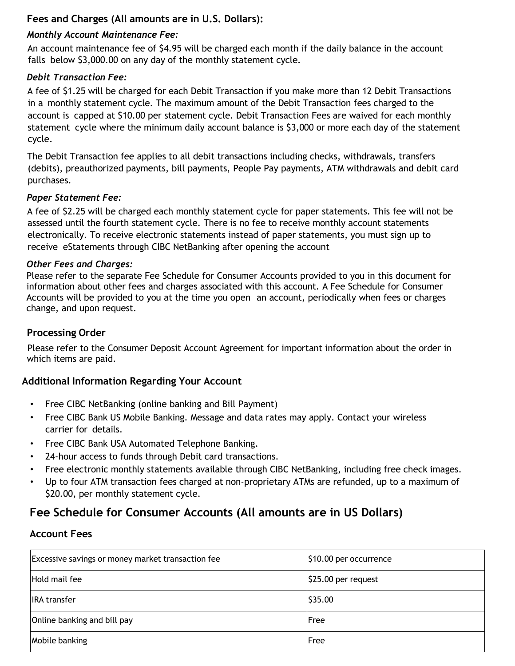### **Fees and Charges (All amounts are in U.S. Dollars):**

### *Monthly Account Maintenance Fee:*

An account maintenance fee of \$4.95 will be charged each month if the daily balance in the account falls below \$3,000.00 on any day of the monthly statement cycle.

### *Debit Transaction Fee:*

A fee of \$1.25 will be charged for each Debit Transaction if you make more than 12 Debit Transactions in a monthly statement cycle. The maximum amount of the Debit Transaction fees charged to the account is capped at \$10.00 per statement cycle. Debit Transaction Fees are waived for each monthly statement cycle where the minimum daily account balance is \$3,000 or more each day of the statement cycle.

The Debit Transaction fee applies to all debit transactions including checks, withdrawals, transfers (debits), preauthorized payments, bill payments, People Pay payments, ATM withdrawals and debit card purchases.

### *Paper Statement Fee:*

A fee of \$2.25 will be charged each monthly statement cycle for paper statements. This fee will not be assessed until the fourth statement cycle. There is no fee to receive monthly account statements electronically. To receive electronic statements instead of paper statements, you must sign up to receive eStatements through CIBC NetBanking after opening the account

### *Other Fees and Charges:*

Please refer to the separate Fee Schedule for Consumer Accounts provided to you in this document for information about other fees and charges associated with this account. A Fee Schedule for Consumer Accounts will be provided to you at the time you open an account, periodically when fees or charges change, and upon request.

### **Processing Order**

Please refer to the Consumer Deposit Account Agreement for important information about the order in which items are paid.

### **Additional Information Regarding Your Account**

- Free CIBC NetBanking (online banking and Bill Payment)
- Free CIBC Bank US Mobile Banking. Message and data rates may apply. Contact your wireless carrier for details.
- Free CIBC Bank USA Automated Telephone Banking.
- 24-hour access to funds through Debit card transactions.
- Free electronic monthly statements available through CIBC NetBanking, including free check images.
- Up to four ATM transaction fees charged at non-proprietary ATMs are refunded, up to a maximum of \$20.00, per monthly statement cycle.

## **Fee Schedule for Consumer Accounts (All amounts are in US Dollars)**

### **Account Fees**

| Excessive savings or money market transaction fee | \$10.00 per occurrence |
|---------------------------------------------------|------------------------|
| Hold mail fee                                     | \$25.00 per request    |
| <b>IRA</b> transfer                               | \$35.00                |
| Online banking and bill pay                       | Free                   |
| Mobile banking                                    | Free                   |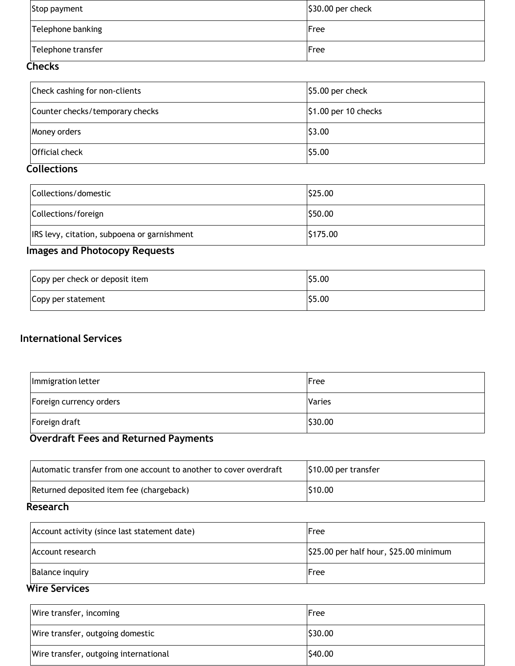| Stop payment       | $\frac{1}{2}$ \$30.00 per check |
|--------------------|---------------------------------|
| Telephone banking  | Free                            |
| Telephone transfer | Free                            |

### **Checks**

| Check cashing for non-clients   | $ $5.00$ per check           |
|---------------------------------|------------------------------|
| Counter checks/temporary checks | $\vert$ \$1.00 per 10 checks |
| Money orders                    | \$3.00                       |
| Official check                  | \$5.00                       |

### **Collections**

| Collections/domestic                        | \$25.00  |
|---------------------------------------------|----------|
| Collections/foreign                         | \$50.00  |
| IRS levy, citation, subpoena or garnishment | \$175.00 |

## **Images and Photocopy Requests**

| Copy per check or deposit item | \$5.00 |
|--------------------------------|--------|
| Copy per statement             | \$5.00 |

### **International Services**

| Immigration letter      | Free    |
|-------------------------|---------|
| Foreign currency orders | Varies  |
| Foreign draft           | \$30.00 |

# **Overdraft Fees and Returned Payments**

| \$10.00 per transfer |
|----------------------|
| \$10.00              |
|                      |

#### **Research**

| Account activity (since last statement date) | Free                                                 |
|----------------------------------------------|------------------------------------------------------|
| Account research                             | $\frac{1}{2}$ \$25.00 per half hour, \$25.00 minimum |
| <b>Balance inquiry</b>                       | Free                                                 |

### **Wire Services**

| Wire transfer, incoming               | Free    |
|---------------------------------------|---------|
| Wire transfer, outgoing domestic      | \$30.00 |
| Wire transfer, outgoing international | \$40.00 |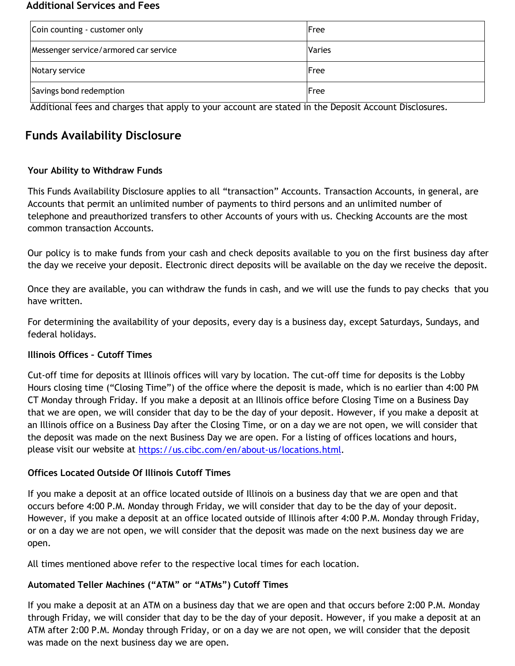#### **Additional Services and Fees**

| Coin counting - customer only         | Free   |
|---------------------------------------|--------|
| Messenger service/armored car service | Varies |
| Notary service                        | Free   |
| Savings bond redemption               | Free   |

Additional fees and charges that apply to your account are stated in the Deposit Account Disclosures.

## **Funds Availability Disclosure**

### **Your Ability to Withdraw Funds**

This Funds Availability Disclosure applies to all "transaction" Accounts. Transaction Accounts, in general, are Accounts that permit an unlimited number of payments to third persons and an unlimited number of telephone and preauthorized transfers to other Accounts of yours with us. Checking Accounts are the most common transaction Accounts.

Our policy is to make funds from your cash and check deposits available to you on the first business day after the day we receive your deposit. Electronic direct deposits will be available on the day we receive the deposit.

Once they are available, you can withdraw the funds in cash, and we will use the funds to pay checks that you have written.

For determining the availability of your deposits, every day is a business day, except Saturdays, Sundays, and federal holidays.

### **Illinois Offices – Cutoff Times**

Cut-off time for deposits at Illinois offices will vary by location. The cut-off time for deposits is the Lobby Hours closing time ("Closing Time") of the office where the deposit is made, which is no earlier than 4:00 PM CT Monday through Friday. If you make a deposit at an Illinois office before Closing Time on a Business Day that we are open, we will consider that day to be the day of your deposit. However, if you make a deposit at an Illinois office on a Business Day after the Closing Time, or on a day we are not open, we will consider that the deposit was made on the next Business Day we are open. For a listing of offices locations and hours, please visit our website at [https://us.cibc.com/en/about-us/locations.html.](https://us.cibc.com/en/about-us/locations.html)

### **Offices Located Outside Of Illinois Cutoff Times**

If you make a deposit at an office located outside of Illinois on a business day that we are open and that occurs before 4:00 P.M. Monday through Friday, we will consider that day to be the day of your deposit. However, if you make a deposit at an office located outside of Illinois after 4:00 P.M. Monday through Friday, or on a day we are not open, we will consider that the deposit was made on the next business day we are open.

All times mentioned above refer to the respective local times for each location.

### **Automated Teller Machines ("ATM" or "ATMs") Cutoff Times**

If you make a deposit at an ATM on a business day that we are open and that occurs before 2:00 P.M. Monday through Friday, we will consider that day to be the day of your deposit. However, if you make a deposit at an ATM after 2:00 P.M. Monday through Friday, or on a day we are not open, we will consider that the deposit was made on the next business day we are open.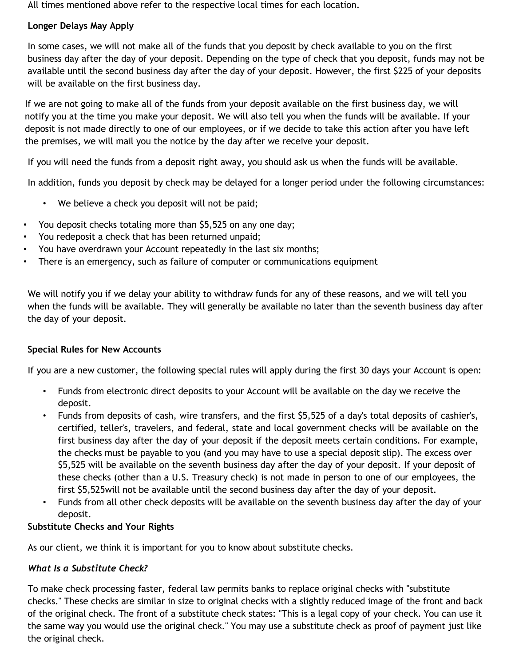All times mentioned above refer to the respective local times for each location.

### **Longer Delays May Apply**

In some cases, we will not make all of the funds that you deposit by check available to you on the first business day after the day of your deposit. Depending on the type of check that you deposit, funds may not be available until the second business day after the day of your deposit. However, the first \$225 of your deposits will be available on the first business day.

If we are not going to make all of the funds from your deposit available on the first business day, we will notify you at the time you make your deposit. We will also tell you when the funds will be available. If your deposit is not made directly to one of our employees, or if we decide to take this action after you have left the premises, we will mail you the notice by the day after we receive your deposit.

If you will need the funds from a deposit right away, you should ask us when the funds will be available.

In addition, funds you deposit by check may be delayed for a longer period under the following circumstances:

- We believe a check you deposit will not be paid;
- You deposit checks totaling more than \$5,525 on any one day;
- You redeposit a check that has been returned unpaid;
- You have overdrawn your Account repeatedly in the last six months;
- There is an emergency, such as failure of computer or communications equipment

We will notify you if we delay your ability to withdraw funds for any of these reasons, and we will tell you when the funds will be available. They will generally be available no later than the seventh business day after the day of your deposit.

### **Special Rules for New Accounts**

If you are a new customer, the following special rules will apply during the first 30 days your Account is open:

- Funds from electronic direct deposits to your Account will be available on the day we receive the deposit.
- Funds from deposits of cash, wire transfers, and the first \$5,525 of a day's total deposits of cashier's, certified, teller's, travelers, and federal, state and local government checks will be available on the first business day after the day of your deposit if the deposit meets certain conditions. For example, the checks must be payable to you (and you may have to use a special deposit slip). The excess over \$5,525 will be available on the seventh business day after the day of your deposit. If your deposit of these checks (other than a U.S. Treasury check) is not made in person to one of our employees, the first \$5,525will not be available until the second business day after the day of your deposit.
- Funds from all other check deposits will be available on the seventh business day after the day of your deposit.

### **Substitute Checks and Your Rights**

As our client, we think it is important for you to know about substitute checks.

### *What Is a Substitute Check?*

To make check processing faster, federal law permits banks to replace original checks with "substitute checks." These checks are similar in size to original checks with a slightly reduced image of the front and back of the original check. The front of a substitute check states: "This is a legal copy of your check. You can use it the same way you would use the original check." You may use a substitute check as proof of payment just like the original check.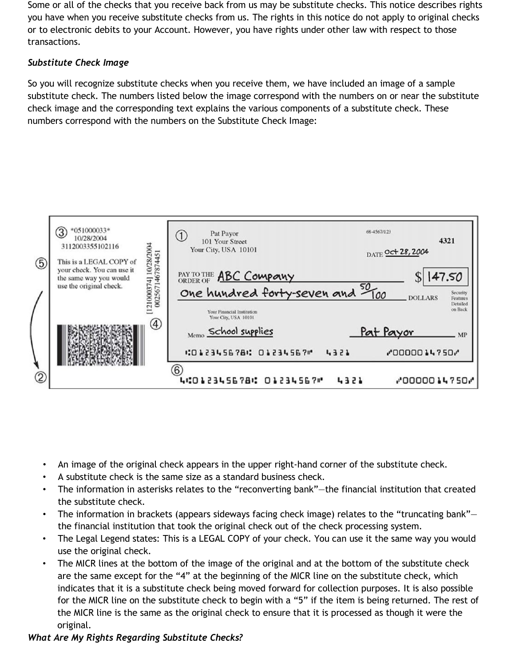Some or all of the checks that you receive back from us may be substitute checks. This notice describes rights you have when you receive substitute checks from us. The rights in this notice do not apply to original checks or to electronic debits to your Account. However, you have rights under other law with respect to those transactions.

### *Substitute Check Image*

So you will recognize substitute checks when you receive them, we have included an image of a sample substitute check. The numbers listed below the image correspond with the numbers on or near the substitute check image and the corresponding text explains the various components of a substitute check. These numbers correspond with the numbers on the Substitute Check Image:



- An image of the original check appears in the upper right-hand corner of the substitute check.
- A substitute check is the same size as a standard business check.
- The information in asterisks relates to the "reconverting bank"—the financial institution that created the substitute check.
- The information in brackets (appears sideways facing check image) relates to the "truncating bank" the financial institution that took the original check out of the check processing system.
- The Legal Legend states: This is a LEGAL COPY of your check. You can use it the same way you would use the original check.
- The MICR lines at the bottom of the image of the original and at the bottom of the substitute check are the same except for the "4" at the beginning of the MICR line on the substitute check, which indicates that it is a substitute check being moved forward for collection purposes. It is also possible for the MICR line on the substitute check to begin with a "5" if the item is being returned. The rest of the MICR line is the same as the original check to ensure that it is processed as though it were the original.

### *What Are My Rights Regarding Substitute Checks?*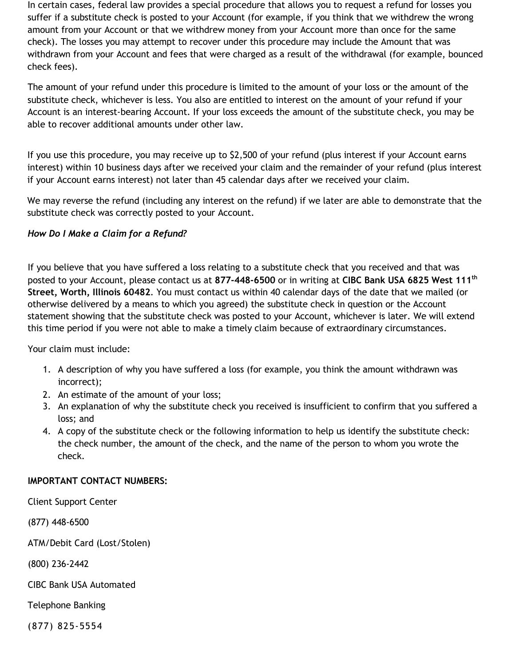In certain cases, federal law provides a special procedure that allows you to request a refund for losses you suffer if a substitute check is posted to your Account (for example, if you think that we withdrew the wrong amount from your Account or that we withdrew money from your Account more than once for the same check). The losses you may attempt to recover under this procedure may include the Amount that was withdrawn from your Account and fees that were charged as a result of the withdrawal (for example, bounced check fees).

The amount of your refund under this procedure is limited to the amount of your loss or the amount of the substitute check, whichever is less. You also are entitled to interest on the amount of your refund if your Account is an interest-bearing Account. If your loss exceeds the amount of the substitute check, you may be able to recover additional amounts under other law.

If you use this procedure, you may receive up to \$2,500 of your refund (plus interest if your Account earns interest) within 10 business days after we received your claim and the remainder of your refund (plus interest if your Account earns interest) not later than 45 calendar days after we received your claim.

We may reverse the refund (including any interest on the refund) if we later are able to demonstrate that the substitute check was correctly posted to your Account.

### *How Do I Make a Claim for a Refund?*

If you believe that you have suffered a loss relating to a substitute check that you received and that was posted to your Account, please contact us at **877-448-6500** or in writing at **CIBC Bank USA 6825 West 111th Street, Worth, Illinois 60482**. You must contact us within 40 calendar days of the date that we mailed (or otherwise delivered by a means to which you agreed) the substitute check in question or the Account statement showing that the substitute check was posted to your Account, whichever is later. We will extend this time period if you were not able to make a timely claim because of extraordinary circumstances.

Your claim must include:

- 1. A description of why you have suffered a loss (for example, you think the amount withdrawn was incorrect);
- 2. An estimate of the amount of your loss;
- 3. An explanation of why the substitute check you received is insufficient to confirm that you suffered a loss; and
- 4. A copy of the substitute check or the following information to help us identify the substitute check: the check number, the amount of the check, and the name of the person to whom you wrote the check.

### **IMPORTANT CONTACT NUMBERS:**

Client Support Center

(877) 448-6500

ATM/Debit Card (Lost/Stolen)

(800) 236-2442

CIBC Bank USA Automated

Telephone Banking

(877) 825-5554